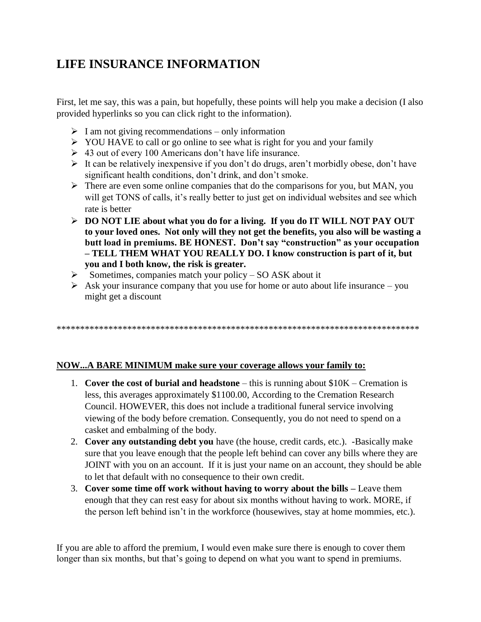# **LIFE INSURANCE INFORMATION**

First, let me say, this was a pain, but hopefully, these points will help you make a decision (I also provided hyperlinks so you can click right to the information).

- $\triangleright$  I am not giving recommendations only information
- YOU HAVE to call or go online to see what is right for you and your family
- $\geq 43$  out of every 100 Americans don't have life insurance.
- $\triangleright$  It can be relatively inexpensive if you don't do drugs, aren't morbidly obese, don't have significant health conditions, don't drink, and don't smoke.
- $\triangleright$  There are even some online companies that do the comparisons for you, but MAN, you will get TONS of calls, it's really better to just get on individual websites and see which rate is better
- **DO NOT LIE about what you do for a living. If you do IT WILL NOT PAY OUT to your loved ones. Not only will they not get the benefits, you also will be wasting a butt load in premiums. BE HONEST. Don't say "construction" as your occupation – TELL THEM WHAT YOU REALLY DO. I know construction is part of it, but you and I both know, the risk is greater.**
- $\triangleright$  Sometimes, companies match your policy SO ASK about it
- $\triangleright$  Ask your insurance company that you use for home or auto about life insurance you might get a discount

\*\*\*\*\*\*\*\*\*\*\*\*\*\*\*\*\*\*\*\*\*\*\*\*\*\*\*\*\*\*\*\*\*\*\*\*\*\*\*\*\*\*\*\*\*\*\*\*\*\*\*\*\*\*\*\*\*\*\*\*\*\*\*\*\*\*\*\*\*\*\*\*\*\*\*\*\*

## **NOW...A BARE MINIMUM make sure your coverage allows your family to:**

- 1. **Cover the cost of burial and headstone** this is running about \$10K Cremation is less, this averages approximately \$1100.00, According to the Cremation Research Council. HOWEVER, this does not include a traditional funeral service involving viewing of the body before cremation. Consequently, you do not need to spend on a casket and embalming of the body.
- 2. **Cover any outstanding debt you** have (the house, credit cards, etc.). -Basically make sure that you leave enough that the people left behind can cover any bills where they are JOINT with you on an account. If it is just your name on an account, they should be able to let that default with no consequence to their own credit.
- 3. **Cover some time off work without having to worry about the bills –** Leave them enough that they can rest easy for about six months without having to work. MORE, if the person left behind isn't in the workforce (housewives, stay at home mommies, etc.).

If you are able to afford the premium, I would even make sure there is enough to cover them longer than six months, but that's going to depend on what you want to spend in premiums.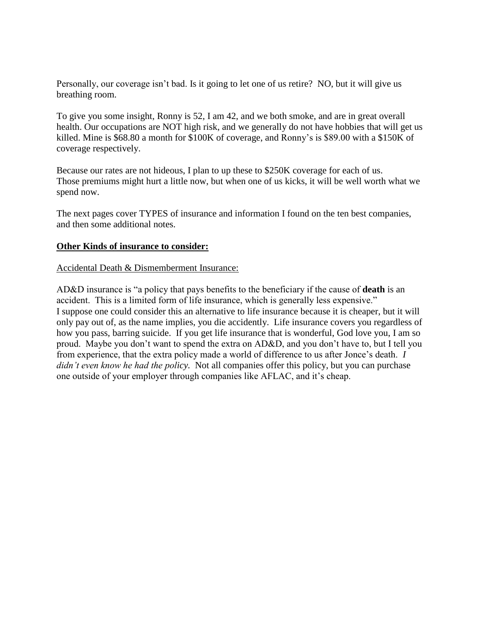Personally, our coverage isn't bad. Is it going to let one of us retire? NO, but it will give us breathing room.

To give you some insight, Ronny is 52, I am 42, and we both smoke, and are in great overall health. Our occupations are NOT high risk, and we generally do not have hobbies that will get us killed. Mine is \$68.80 a month for \$100K of coverage, and Ronny's is \$89.00 with a \$150K of coverage respectively.

Because our rates are not hideous, I plan to up these to \$250K coverage for each of us. Those premiums might hurt a little now, but when one of us kicks, it will be well worth what we spend now.

The next pages cover TYPES of insurance and information I found on the ten best companies, and then some additional notes.

#### **Other Kinds of insurance to consider:**

#### Accidental Death & Dismemberment Insurance:

AD&D insurance is "a policy that pays benefits to the beneficiary if the cause of **death** is an accident. This is a limited form of life insurance, which is generally less expensive." I suppose one could consider this an alternative to life insurance because it is cheaper, but it will only pay out of, as the name implies, you die accidently. Life insurance covers you regardless of how you pass, barring suicide. If you get life insurance that is wonderful, God love you, I am so proud. Maybe you don't want to spend the extra on AD&D, and you don't have to, but I tell you from experience, that the extra policy made a world of difference to us after Jonce's death. *I didn't even know he had the policy.* Not all companies offer this policy, but you can purchase one outside of your employer through companies like AFLAC, and it's cheap.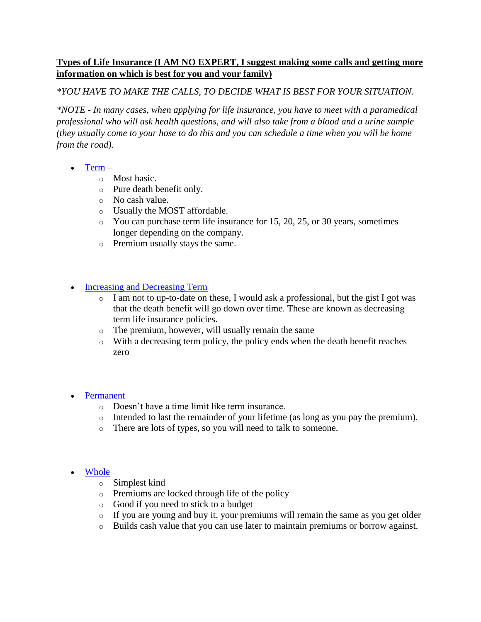## **Types of Life Insurance (I AM NO EXPERT, I suggest making some calls and getting more information on which is best for you and your family)**

## *\*YOU HAVE TO MAKE THE CALLS, TO DECIDE WHAT IS BEST FOR YOUR SITUATION.*

*\*NOTE - In many cases, when applying for life insurance, you have to meet with a paramedical professional who will ask health questions, and will also take from a blood and a urine sample (they usually come to your hose to do this and you can schedule a time when you will be home from the road).*

- [Term](https://www.goodfinancialcents.com/types-of-life-insurance-policies-explained/#term)
	- o Most basic.
	- o Pure death benefit only.
	- o No cash value.
	- o Usually the MOST affordable.
	- $\circ$  You can purchase term life insurance for 15, 20, 25, or 30 years, sometimes longer depending on the company.
	- o Premium usually stays the same.
- [Increasing and Decreasing Term](https://www.goodfinancialcents.com/types-of-life-insurance-policies-explained/#increasingDecreasing)
	- o I am not to up-to-date on these, I would ask a professional, but the gist I got was that the death benefit will go down over time. These are known as decreasing term life insurance policies.
	- o The premium, however, will usually remain the same
	- o With a decreasing term policy, the policy ends when the death benefit reaches zero
- [Permanent](https://www.goodfinancialcents.com/types-of-life-insurance-policies-explained/#permanent)
	- o Doesn't have a time limit like term insurance.
	- o Intended to last the remainder of your lifetime (as long as you pay the premium).
	- o There are lots of types, so you will need to talk to someone.
- **[Whole](https://www.goodfinancialcents.com/types-of-life-insurance-policies-explained/#whole)** 
	- o Simplest kind
	- o Premiums are locked through life of the policy
	- o Good if you need to stick to a budget
	- o If you are young and buy it, your premiums will remain the same as you get older
	- o Builds cash value that you can use later to maintain premiums or borrow against.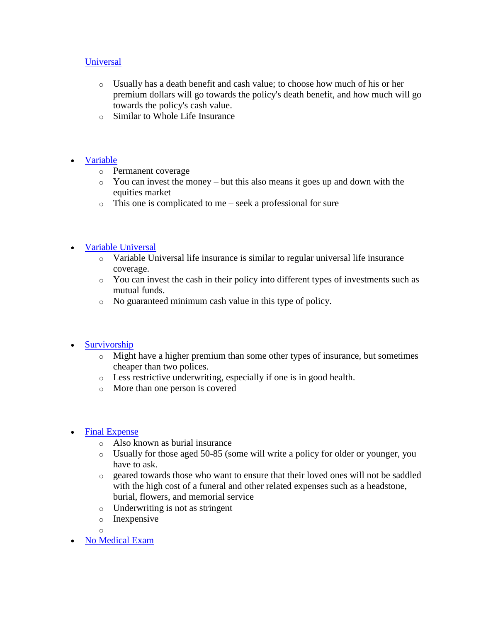### **[Universal](https://www.goodfinancialcents.com/types-of-life-insurance-policies-explained/#universal)**

- o Usually has a death benefit and cash value; to choose how much of his or her premium dollars will go towards the policy's death benefit, and how much will go towards the policy's cash value.
- o Similar to Whole Life Insurance

## [Variable](https://www.goodfinancialcents.com/types-of-life-insurance-policies-explained/#variable)

- o Permanent coverage
- $\circ$  You can invest the money but this also means it goes up and down with the equities market
- o This one is complicated to me seek a professional for sure

#### • [Variable Universal](https://www.goodfinancialcents.com/types-of-life-insurance-policies-explained/#variableUniversal)

- o Variable Universal life insurance is similar to regular universal life insurance coverage.
- o You can invest the cash in their policy into different types of investments such as mutual funds.
- o No guaranteed minimum cash value in this type of policy.

## • [Survivorship](https://www.goodfinancialcents.com/types-of-life-insurance-policies-explained/#survivorship)

- $\circ$  Might have a higher premium than some other types of insurance, but sometimes cheaper than two polices.
- o Less restrictive underwriting, especially if one is in good health.
- o More than one person is covered
- [Final Expense](https://www.goodfinancialcents.com/types-of-life-insurance-policies-explained/#finalExpense)
	- o Also known as burial insurance
	- o Usually for those aged 50-85 (some will write a policy for older or younger, you have to ask.
	- o geared towards those who want to ensure that their loved ones will not be saddled with the high cost of a funeral and other related expenses such as a headstone, burial, flowers, and memorial service
	- o Underwriting is not as stringent
	- o Inexpensive
	- o
- [No Medical Exam](https://www.goodfinancialcents.com/types-of-life-insurance-policies-explained/#noExam)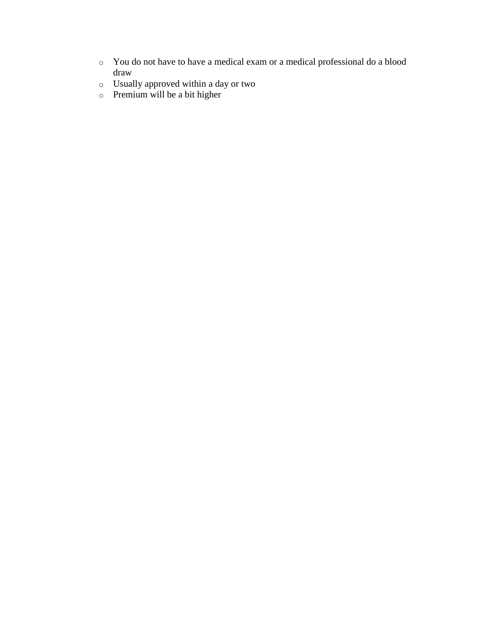- o You do not have to have a medical exam or a medical professional do a blood draw
- o Usually approved within a day or two
- o Premium will be a bit higher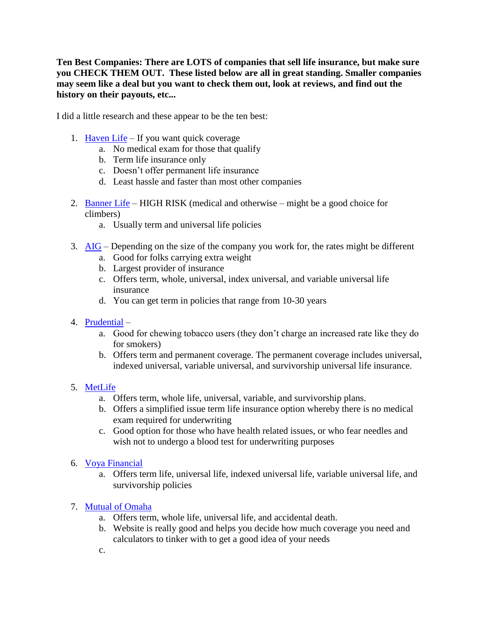**Ten Best Companies: There are LOTS of companies that sell life insurance, but make sure you CHECK THEM OUT. These listed below are all in great standing. Smaller companies may seem like a deal but you want to check them out, look at reviews, and find out the history on their payouts, etc...**

I did a little research and these appear to be the ten best:

- 1. [Haven Life](https://havenlife.com/quick-quote?gclid=EAIaIQobChMIjbThud7U1gIV0luGCh3IQgYzEAAYASAAEgLh4PD_BwE) If you want quick coverage
	- a. No medical exam for those that qualify
	- b. Term life insurance only
	- c. Doesn't offer permanent life insurance
	- d. Least hassle and faster than most other companies
- 2. [Banner Life](https://term.lgamerica.com/) HIGH RISK (medical and otherwise might be a good choice for climbers)
	- a. Usually term and universal life policies
- 3. [AIG](https://www.aig-lifeinsurance.com/?q_criteria=422%7C2710&src=tz_aig_google&afid=411680&tfn=ODg4LTI0My0wNTM1&cid=10007&Sub_ID=search&q_keyword=aig%20life%20insurance&q_placement&q_creative=172771853644&q_device=c&q_devicemodel&q_matchtype=e&q_network=g&q_adposition=1t3&q_targetid=kwd-99608563&q_campaignid=676001490&q_adgroupid=34660067655&gclid=EAIaIQobChMI2OWJm9_U1gIVxrrACh3tngScEAAYAyAAEgIHI_D_BwE) Depending on the size of the company you work for, the rates might be different
	- a. Good for folks carrying extra weight
	- b. Largest provider of insurance
	- c. Offers term, whole, universal, index universal, and variable universal life insurance
	- d. You can get term in policies that range from 10-30 years
- 4. [Prudential](https://www.prudential.com/personal/life-insurance)
	- a. Good for chewing tobacco users (they don't charge an increased rate like they do for smokers)
	- b. Offers term and permanent coverage. The permanent coverage includes universal, indexed universal, variable universal, and survivorship universal life insurance.

## 5. [MetLife](https://www.metlife.com/lp/mrt/terms/?cid=csc9tr4&utm_campaign=d_mr_2q17_mer&utm_term=d_mr&utm_medium=cpc&utm_content=desktop_taken+from+adwords&utm_source=google&utm_id=csc9tr4&WT.mc_id=c9tr4&ds_kid=43700020575837151&gclid=EAIaIQobChMI2OWJm9_U1gIVxrrACh3tngScEAAYASAAEgLTV_D_BwE&dclid=CJvf0p7f1NYCFUx3wQodI5kKNQ)

- a. Offers term, whole life, universal, variable, and survivorship plans.
- b. Offers a simplified issue term life insurance option whereby there is no medical exam required for underwriting
- c. Good option for those who have health related issues, or who fear needles and wish not to undergo a blood test for underwriting purposes
- 6. [Voya Financial](https://www.voya.com/products-services/life-insurance?gclid=EAIaIQobChMItOi559_U1gIVU57ACh2sNQS5EAAYASAAEgIg0fD_BwE)
	- a. Offers term life, universal life, indexed universal life, variable universal life, and survivorship policies

## 7. [Mutual of Omaha](https://www.mutualofomaha.com/life-insurance)

- a. Offers term, whole life, universal life, and accidental death.
- b. Website is really good and helps you decide how much coverage you need and calculators to tinker with to get a good idea of your needs